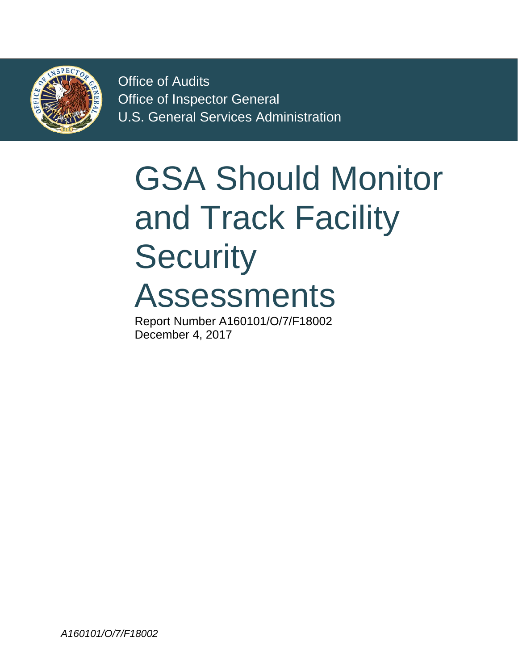

Office of Audits Office of Inspector General U.S. General Services Administration

# and Track Facility GSA Should Monitor **Security** Assessments

Report Number A160101/O/7/F18002 December 4, 2017

*A160101/O/7/F18002*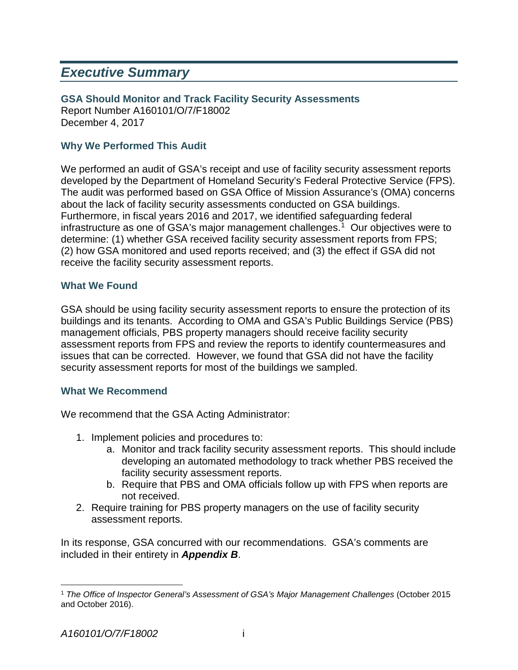## *Executive Summary*

**GSA Should Monitor and Track Facility Security Assessments** Report Number A160101/O/7/F18002

December 4, 2017

## **Why We Performed This Audit**

 We performed an audit of GSA's receipt and use of facility security assessment reports developed by the Department of Homeland Security's Federal Protective Service (FPS). The audit was performed based on GSA Office of Mission Assurance's (OMA) concerns about the lack of facility security assessments conducted on GSA buildings. infrastructure as one of GSA's major management challenges. [1](#page-1-0) Our objectives were to determine: (1) whether GSA received facility security assessment reports from FPS; (2) how GSA monitored and used reports received; and (3) the effect if GSA did not receive the facility security assessment reports. Furthermore, in fiscal years 2016 and 2017, we identified safeguarding federal

## **What We Found**

 GSA should be using facility security assessment reports to ensure the protection of its buildings and its tenants. According to OMA and GSA's Public Buildings Service (PBS) issues that can be corrected. However, we found that GSA did not have the facility security assessment reports for most of the buildings we sampled. management officials, PBS property managers should receive facility security assessment reports from FPS and review the reports to identify countermeasures and

#### **What We Recommend**

We recommend that the GSA Acting Administrator:

- 1. Implement policies and procedures to:
	- a. Monitor and track facility security assessment reports. This should include developing an automated methodology to track whether PBS received the facility security assessment reports.
	- b. Require that PBS and OMA officials follow up with FPS when reports are not received.
- 2. Require training for PBS property managers on the use of facility security assessment reports.

In its response, GSA concurred with our recommendations. GSA's comments are included in their entirety in *Appendix B*.

l

<span id="page-1-0"></span> <sup>1</sup>*The Office of Inspector General's Assessment of GSA's Major Management Challenges* (October 2015 and October 2016).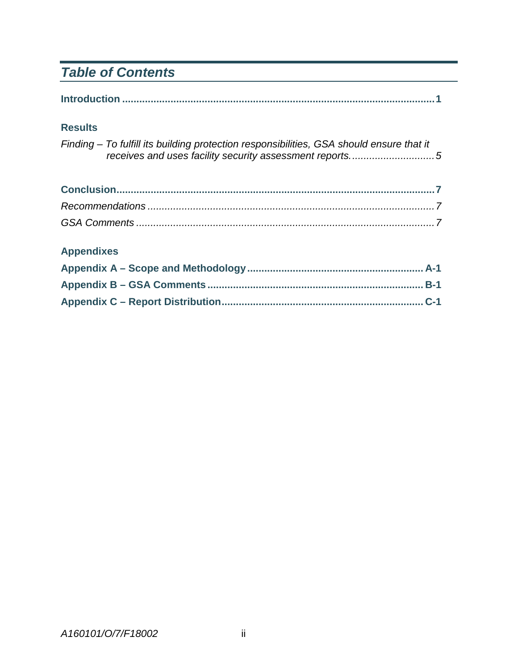## *Table of Contents*

|--|

## **Results**

*Finding – To fulfill its building protection responsibilities, GSA should ensure that it [receives and uses facility security assessment reports..............................5](#page-7-0)* 

## **Appendixes**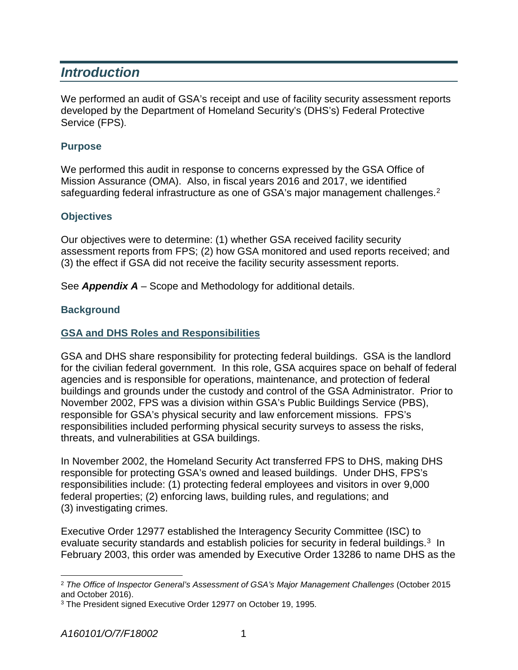## *Introduction*

 developed by the Department of Homeland Security's (DHS's) Federal Protective We performed an audit of GSA's receipt and use of facility security assessment reports Service (FPS).

## **Purpose**

 Mission Assurance (OMA). Also, in fiscal years 2016 and 2017, we identified We performed this audit in response to concerns expressed by the GSA Office of safeguarding federal infrastructure as one of GSA's major management challenges.<sup>[2](#page-3-0)</sup>

## **Objectives**

 (3) the effect if GSA did not receive the facility security assessment reports. Our objectives were to determine: (1) whether GSA received facility security assessment reports from FPS; (2) how GSA monitored and used reports received; and

See *Appendix A* – Scope and Methodology for additional details.

## **Background**

## **GSA and DHS Roles and Responsibilities**

 for the civilian federal government. In this role, GSA acquires space on behalf of federal November 2002, FPS was a division within GSA's Public Buildings Service (PBS), threats, and vulnerabilities at GSA buildings. GSA and DHS share responsibility for protecting federal buildings. GSA is the landlord agencies and is responsible for operations, maintenance, and protection of federal buildings and grounds under the custody and control of the GSA Administrator. Prior to responsible for GSA's physical security and law enforcement missions. FPS's responsibilities included performing physical security surveys to assess the risks,

 responsible for protecting GSA's owned and leased buildings. Under DHS, FPS's responsibilities include: (1) protecting federal employees and visitors in over 9,000 federal properties; (2) enforcing laws, building rules, and regulations; and In November 2002, the Homeland Security Act transferred FPS to DHS, making DHS (3) investigating crimes.

 Executive Order 12977 established the Interagency Security Committee (ISC) to evaluate security standards and establish policies for security in federal buildings.<sup>[3](#page-3-1)</sup> In February 2003, this order was amended by Executive Order 13286 to name DHS as the

<span id="page-3-0"></span>l  <sup>2</sup>*The Office of Inspector General's Assessment of GSA's Major Management Challenges* (October 2015 and October 2016).

<span id="page-3-1"></span><sup>3</sup> The President signed Executive Order 12977 on October 19, 1995.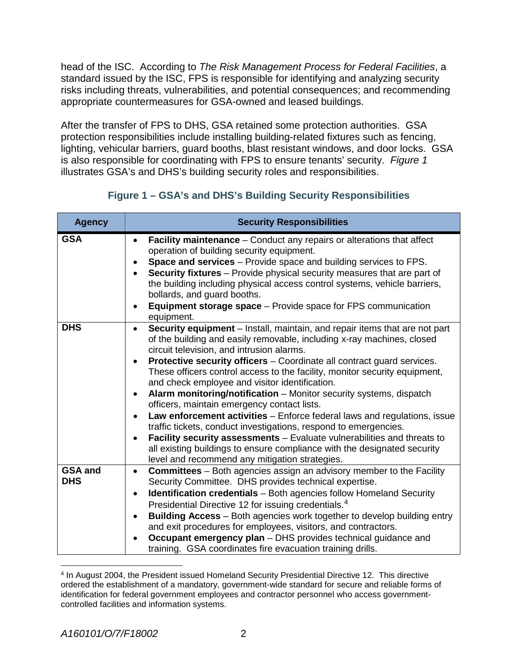<span id="page-4-0"></span> risks including threats, vulnerabilities, and potential consequences; and recommending appropriate countermeasures for GSA-owned and leased buildings. head of the ISC. According to *The Risk Management Process for Federal Facilities*, a standard issued by the ISC, FPS is responsible for identifying and analyzing security

 lighting, vehicular barriers, guard booths, blast resistant windows, and door locks. GSA  is also responsible for coordinating with FPS to ensure tenants' security. *Figure 1*  illustrates GSA's and DHS's building security roles and responsibilities. After the transfer of FPS to DHS, GSA retained some protection authorities. GSA protection responsibilities include installing building-related fixtures such as fencing,

## **Figure 1 – GSA's and DHS's Building Security Responsibilities**

| <b>Agency</b>                | <b>Security Responsibilities</b>                                                                                                                                                                                                                                                                                                                                                                                                                                                                                                                                                                                                                                                                                                                                                                                                                                                                                                                   |
|------------------------------|----------------------------------------------------------------------------------------------------------------------------------------------------------------------------------------------------------------------------------------------------------------------------------------------------------------------------------------------------------------------------------------------------------------------------------------------------------------------------------------------------------------------------------------------------------------------------------------------------------------------------------------------------------------------------------------------------------------------------------------------------------------------------------------------------------------------------------------------------------------------------------------------------------------------------------------------------|
| <b>GSA</b>                   | Facility maintenance - Conduct any repairs or alterations that affect<br>$\bullet$<br>operation of building security equipment.<br>Space and services - Provide space and building services to FPS.<br>$\bullet$<br>Security fixtures - Provide physical security measures that are part of<br>$\bullet$<br>the building including physical access control systems, vehicle barriers,<br>bollards, and guard booths.<br><b>Equipment storage space</b> – Provide space for FPS communication<br>٠<br>equipment.                                                                                                                                                                                                                                                                                                                                                                                                                                    |
| <b>DHS</b>                   | Security equipment - Install, maintain, and repair items that are not part<br>$\bullet$<br>of the building and easily removable, including x-ray machines, closed<br>circuit television, and intrusion alarms.<br>Protective security officers - Coordinate all contract guard services.<br>٠<br>These officers control access to the facility, monitor security equipment,<br>and check employee and visitor identification.<br>Alarm monitoring/notification - Monitor security systems, dispatch<br>$\bullet$<br>officers, maintain emergency contact lists.<br>Law enforcement activities - Enforce federal laws and regulations, issue<br>$\bullet$<br>traffic tickets, conduct investigations, respond to emergencies.<br>Facility security assessments - Evaluate vulnerabilities and threats to<br>$\bullet$<br>all existing buildings to ensure compliance with the designated security<br>level and recommend any mitigation strategies. |
| <b>GSA and</b><br><b>DHS</b> | <b>Committees</b> – Both agencies assign an advisory member to the Facility<br>$\bullet$<br>Security Committee. DHS provides technical expertise.<br><b>Identification credentials</b> - Both agencies follow Homeland Security<br>$\bullet$<br>Presidential Directive 12 for issuing credentials. <sup>4</sup><br>Building Access - Both agencies work together to develop building entry<br>$\bullet$<br>and exit procedures for employees, visitors, and contractors.<br>Occupant emergency plan - DHS provides technical guidance and<br>training. GSA coordinates fire evacuation training drills.                                                                                                                                                                                                                                                                                                                                            |

<span id="page-4-1"></span> 4 In August 2004, the President issued Homeland Security Presidential Directive 12. This directive ordered the establishment of a mandatory, government-wide standard for secure and reliable forms of identification for federal government employees and contractor personnel who access governmentcontrolled facilities and information systems.

l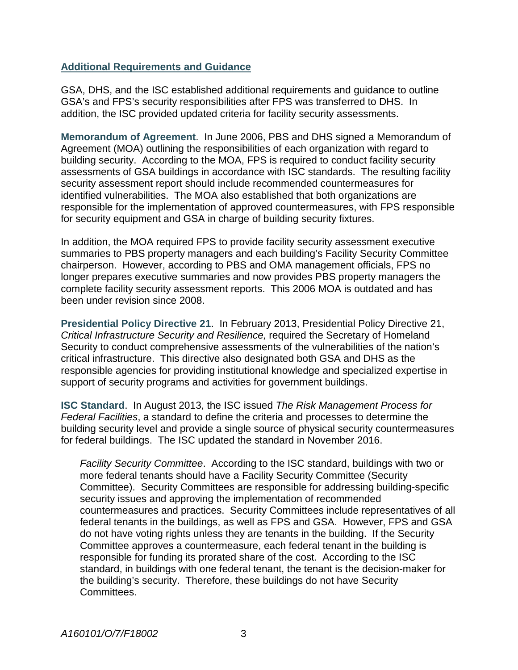#### **Additional Requirements and Guidance**

 GSA, DHS, and the ISC established additional requirements and guidance to outline GSA's and FPS's security responsibilities after FPS was transferred to DHS. In addition, the ISC provided updated criteria for facility security assessments.

 **Memorandum of Agreement**. In June 2006, PBS and DHS signed a Memorandum of Agreement (MOA) outlining the responsibilities of each organization with regard to building security. According to the MOA, FPS is required to conduct facility security assessments of GSA buildings in accordance with ISC standards. The resulting facility security assessment report should include recommended countermeasures for identified vulnerabilities. The MOA also established that both organizations are responsible for the implementation of approved countermeasures, with FPS responsible for security equipment and GSA in charge of building security fixtures.

 summaries to PBS property managers and each building's Facility Security Committee chairperson. However, according to PBS and OMA management officials, FPS no complete facility security assessment reports. This 2006 MOA is outdated and has In addition, the MOA required FPS to provide facility security assessment executive longer prepares executive summaries and now provides PBS property managers the been under revision since 2008.

 **Presidential Policy Directive 21**. In February 2013, Presidential Policy Directive 21, *Critical Infrastructure Security and Resilience,* required the Secretary of Homeland Security to conduct comprehensive assessments of the vulnerabilities of the nation's critical infrastructure. This directive also designated both GSA and DHS as the responsible agencies for providing institutional knowledge and specialized expertise in support of security programs and activities for government buildings.

 **ISC Standard**. In August 2013, the ISC issued *The Risk Management Process for*  building security level and provide a single source of physical security countermeasures for federal buildings. The ISC updated the standard in November 2016. *Federal Facilities*, a standard to define the criteria and processes to determine the

 *Facility Security Committee*. According to the ISC standard, buildings with two or Committee). Security Committees are responsible for addressing building-specific countermeasures and practices. Security Committees include representatives of all responsible for funding its prorated share of the cost. According to the ISC standard, in buildings with one federal tenant, the tenant is the decision-maker for the building's security. Therefore, these buildings do not have Security more federal tenants should have a Facility Security Committee (Security security issues and approving the implementation of recommended federal tenants in the buildings, as well as FPS and GSA. However, FPS and GSA do not have voting rights unless they are tenants in the building. If the Security Committee approves a countermeasure, each federal tenant in the building is Committees.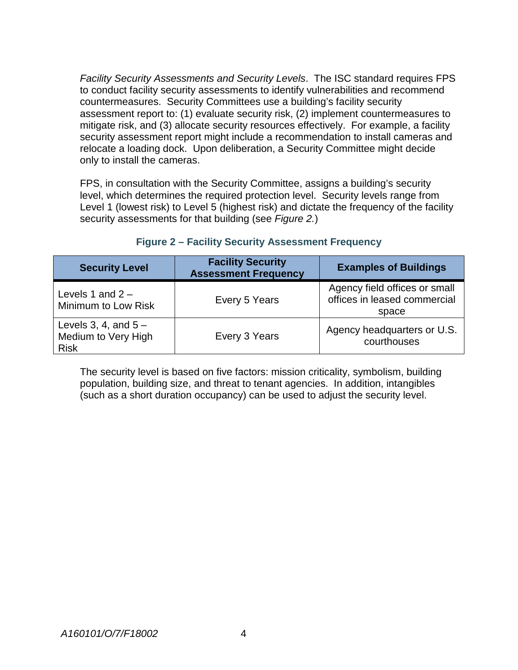*Facility Security Assessments and Security Levels*. The ISC standard requires FPS countermeasures. Security Committees use a building's facility security assessment report to: (1) evaluate security risk, (2) implement countermeasures to mitigate risk, and (3) allocate security resources effectively. For example, a facility to conduct facility security assessments to identify vulnerabilities and recommend security assessment report might include a recommendation to install cameras and relocate a loading dock. Upon deliberation, a Security Committee might decide only to install the cameras.

 level, which determines the required protection level. Security levels range from FPS, in consultation with the Security Committee, assigns a building's security Level 1 (lowest risk) to Level 5 (highest risk) and dictate the frequency of the facility security assessments for that building (see *Figure 2.*)

| <b>Security Level</b>                                       | <b>Facility Security</b><br><b>Assessment Frequency</b> | <b>Examples of Buildings</b>                                           |
|-------------------------------------------------------------|---------------------------------------------------------|------------------------------------------------------------------------|
| Levels 1 and $2 -$<br>Minimum to Low Risk                   | Every 5 Years                                           | Agency field offices or small<br>offices in leased commercial<br>space |
| Levels 3, 4, and $5-$<br>Medium to Very High<br><b>Risk</b> | Every 3 Years                                           | Agency headquarters or U.S.<br>courthouses                             |

## **Figure 2 – Facility Security Assessment Frequency**

 population, building size, and threat to tenant agencies. In addition, intangibles (such as a short duration occupancy) can be used to adjust the security level. The security level is based on five factors: mission criticality, symbolism, building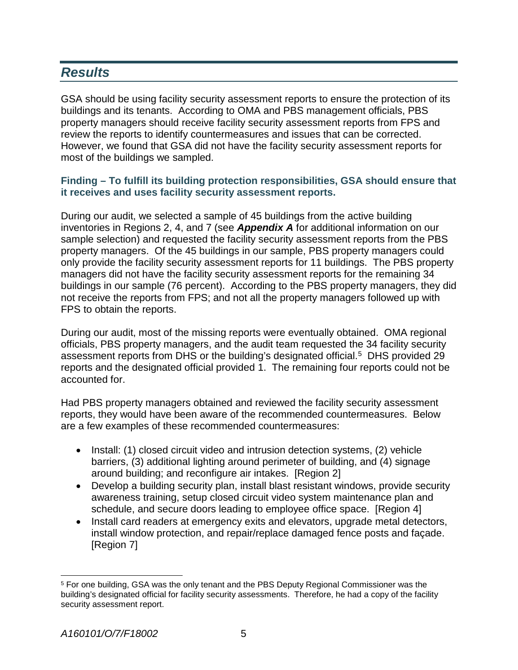## <span id="page-7-0"></span>*Results*

 buildings and its tenants. According to OMA and PBS management officials, PBS property managers should receive facility security assessment reports from FPS and review the reports to identify countermeasures and issues that can be corrected. review the reports to identify countermeasures and issues that can be corrected.<br>However, we found that GSA did not have the facility security assessment reports for most of the buildings we sampled. GSA should be using facility security assessment reports to ensure the protection of its

#### **Finding – To fulfill its building protection responsibilities, GSA should ensure that it receives and uses facility security assessment reports.**

 sample selection) and requested the facility security assessment reports from the PBS property managers. Of the 45 buildings in our sample, PBS property managers could not receive the reports from FPS; and not all the property managers followed up with FPS to obtain the reports. During our audit, we selected a sample of 45 buildings from the active building inventories in Regions 2, 4, and 7 (see *Appendix A* for additional information on our only provide the facility security assessment reports for 11 buildings. The PBS property managers did not have the facility security assessment reports for the remaining 34 buildings in our sample (76 percent). According to the PBS property managers, they did

FPS to obtain the reports.<br>During our audit, most of the missing reports were eventually obtained. OMA regional assessment reports from DHS or the building's designated official.<sup>5</sup> DHS provided 29 reports and the designated official provided 1. The remaining four reports could not be officials, PBS property managers, and the audit team requested the 34 facility security accounted for.

 reports, they would have been aware of the recommended countermeasures. Below Had PBS property managers obtained and reviewed the facility security assessment are a few examples of these recommended countermeasures:

- • Install: (1) closed circuit video and intrusion detection systems, (2) vehicle barriers, (3) additional lighting around perimeter of building, and (4) signage around building; and reconfigure air intakes. [Region 2]
- Develop a building security plan, install blast resistant windows, provide security awareness training, setup closed circuit video system maintenance plan and schedule, and secure doors leading to employee office space. [Region 4]
- install window protection, and repair/replace damaged fence posts and façade. • Install card readers at emergency exits and elevators, upgrade metal detectors, [Region 7]

<span id="page-7-1"></span>l building's designated official for facility security assessments. Therefore, he had a copy of the facility 5 For one building, GSA was the only tenant and the PBS Deputy Regional Commissioner was the security assessment report.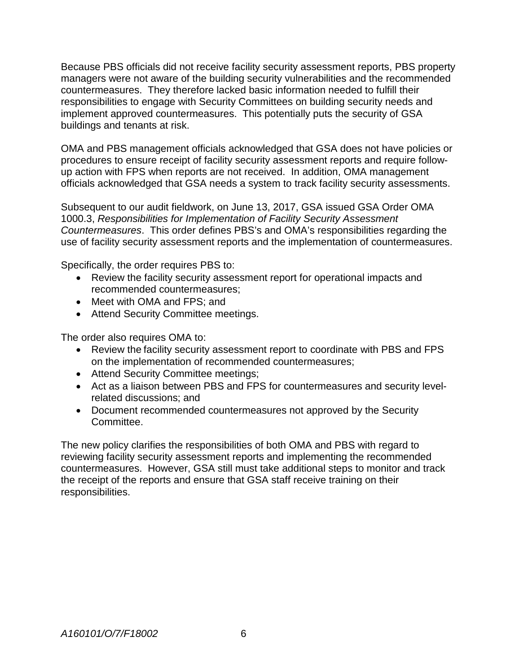Because PBS officials did not receive facility security assessment reports, PBS property managers were not aware of the building security vulnerabilities and the recommended countermeasures. They therefore lacked basic information needed to fulfill their implement approved countermeasures. This potentially puts the security of GSA responsibilities to engage with Security Committees on building security needs and buildings and tenants at risk.

 officials acknowledged that GSA needs a system to track facility security assessments. OMA and PBS management officials acknowledged that GSA does not have policies or procedures to ensure receipt of facility security assessment reports and require followup action with FPS when reports are not received. In addition, OMA management

 Subsequent to our audit fieldwork, on June 13, 2017, GSA issued GSA Order OMA *Countermeasures*. This order defines PBS's and OMA's responsibilities regarding the 1000.3, *Responsibilities for Implementation of Facility Security Assessment*  use of facility security assessment reports and the implementation of countermeasures.

Specifically, the order requires PBS to:

- Review the facility security assessment report for operational impacts and recommended countermeasures;
- Meet with OMA and FPS; and
- Attend Security Committee meetings.

The order also requires OMA to:

- Review the facility security assessment report to coordinate with PBS and FPS on the implementation of recommended countermeasures;
- Attend Security Committee meetings;
- Act as a liaison between PBS and FPS for countermeasures and security levelrelated discussions; and
- Document recommended countermeasures not approved by the Security Committee.

 the receipt of the reports and ensure that GSA staff receive training on their The new policy clarifies the responsibilities of both OMA and PBS with regard to reviewing facility security assessment reports and implementing the recommended countermeasures. However, GSA still must take additional steps to monitor and track responsibilities.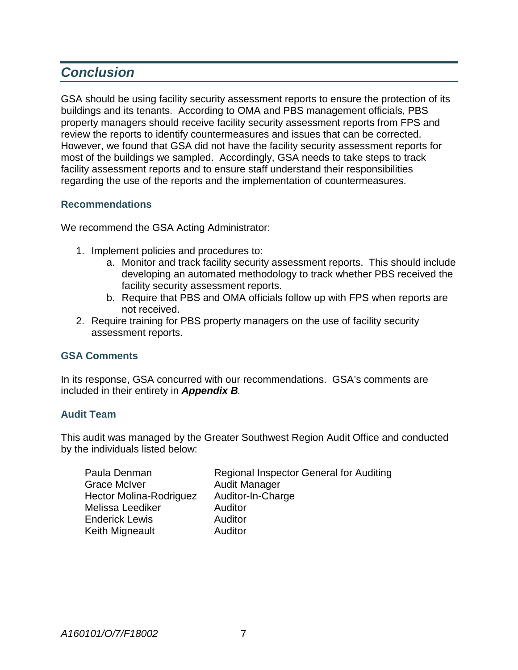## *Conclusion*

 buildings and its tenants. According to OMA and PBS management officials, PBS property managers should receive facility security assessment reports from FPS and review the reports to identify countermeasures and issues that can be corrected. review the reports to identify countermeasures and issues that can be corrected.<br>However, we found that GSA did not have the facility security assessment reports for most of the buildings we sampled. Accordingly, GSA needs to take steps to track GSA should be using facility security assessment reports to ensure the protection of its facility assessment reports and to ensure staff understand their responsibilities regarding the use of the reports and the implementation of countermeasures.

## **Recommendations**

We recommend the GSA Acting Administrator:

- 1. Implement policies and procedures to:
	- a. Monitor and track facility security assessment reports. This should include developing an automated methodology to track whether PBS received the facility security assessment reports.
	- b. Require that PBS and OMA officials follow up with FPS when reports are not received.
- 2. Require training for PBS property managers on the use of facility security assessment reports.

## **GSA Comments**

In its response, GSA concurred with our recommendations. GSA's comments are included in their entirety in *Appendix B.* 

#### **Audit Team**

This audit was managed by the Greater Southwest Region Audit Office and conducted by the individuals listed below:

| Paula Denman            | <b>Regional Inspector General for Auditing</b> |
|-------------------------|------------------------------------------------|
| <b>Grace McIver</b>     | <b>Audit Manager</b>                           |
| Hector Molina-Rodriguez | Auditor-In-Charge                              |
| Melissa Leediker        | Auditor                                        |
| <b>Enderick Lewis</b>   | Auditor                                        |
| Keith Migneault         | Auditor                                        |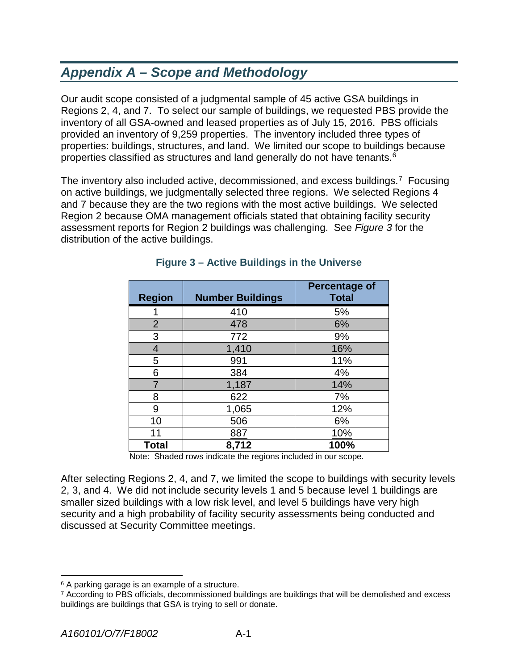## *Appendix A – Scope and Methodology*

 Regions 2, 4, and 7. To select our sample of buildings, we requested PBS provide the inventory of all GSA-owned and leased properties as of July 15, 2016. PBS officials provided an inventory of 9,259 properties. The inventory included three types of properties: buildings, structures, and land. We limited our scope to buildings because Our audit scope consisted of a judgmental sample of 45 active GSA buildings in properties classified as structures and land generally do not have tenants.<sup>6</sup>

The inventory also included active, decommissioned, and excess buildings.<sup>7</sup> Focusing on active buildings, we judgmentally selected three regions. We selected Regions 4 and 7 because they are the two regions with the most active buildings. We selected Region 2 because OMA management officials stated that obtaining facility security assessment reports for Region 2 buildings was challenging. See *Figure 3* for the distribution of the active buildings.

| <b>Region</b>  | <b>Number Buildings</b> | <b>Percentage of</b><br><b>Total</b> |
|----------------|-------------------------|--------------------------------------|
|                | 410                     | 5%                                   |
| $\overline{2}$ | 478                     | 6%                                   |
| 3              | 772                     | 9%                                   |
| $\overline{4}$ | 1,410                   | 16%                                  |
| 5              | 991                     | 11%                                  |
| 6              | 384                     | 4%                                   |
| 7              | 1,187                   | 14%                                  |
| 8              | 622                     | 7%                                   |
| 9              | 1,065                   | 12%                                  |
| 10             | 506                     | 6%                                   |
| 11             | 887                     | 10%                                  |
| Total          | 8,712                   | 100%                                 |

## **Figure 3 – Active Buildings in the Universe**

Note: Shaded rows indicate the regions included in our scope.

 2, 3, and 4. We did not include security levels 1 and 5 because level 1 buildings are After selecting Regions 2, 4, and 7, we limited the scope to buildings with security levels smaller sized buildings with a low risk level, and level 5 buildings have very high security and a high probability of facility security assessments being conducted and discussed at Security Committee meetings.

l

<span id="page-10-0"></span><sup>&</sup>lt;sup>6</sup> A parking garage is an example of a structure.

<span id="page-10-1"></span> 7 According to PBS officials, decommissioned buildings are buildings that will be demolished and excess buildings are buildings that GSA is trying to sell or donate.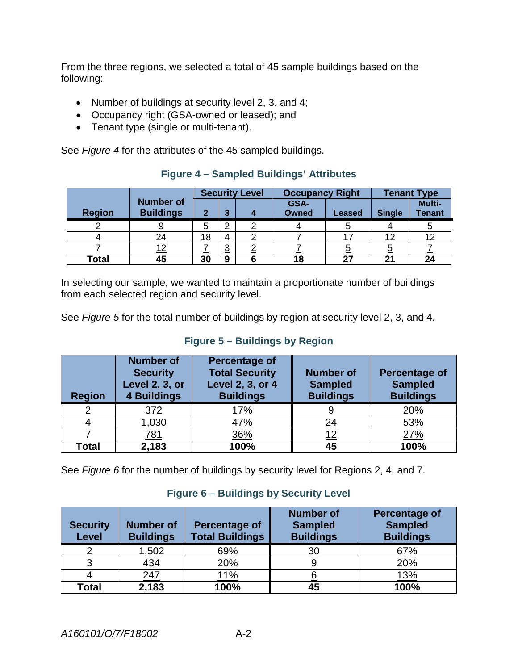From the three regions, we selected a total of 45 sample buildings based on the following:

- Number of buildings at security level 2, 3, and 4;
- Occupancy right (GSA-owned or leased); and
- Tenant type (single or multi-tenant).

See *Figure 4* for the attributes of the 45 sampled buildings.

|               |                                      | <b>Security Level</b> |               | <b>Occupancy Right</b> |                      | <b>Tenant Type</b> |               |                         |
|---------------|--------------------------------------|-----------------------|---------------|------------------------|----------------------|--------------------|---------------|-------------------------|
| <b>Region</b> | <b>Number of</b><br><b>Buildings</b> | $\mathbf{2}$          | ≏             |                        | GSA-<br><b>Owned</b> | Leased             | <b>Single</b> | Multi-<br><b>Tenant</b> |
|               |                                      | 5                     | ⌒             |                        |                      |                    |               |                         |
|               | 24                                   | 18                    |               |                        |                      | $-17$              | 12            | 12                      |
|               | 12                                   |                       | ◠<br><u>ت</u> |                        |                      |                    | <u>כ</u>      |                         |
| Total         | 45                                   | 30                    | 9             |                        | 18                   | 27                 | 21            | 24                      |

## **Figure 4 – Sampled Buildings' Attributes**

 In selecting our sample, we wanted to maintain a proportionate number of buildings from each selected region and security level.

See *Figure 5* for the total number of buildings by region at security level 2, 3, and 4.

## **Figure 5 – Buildings by Region**

| <b>Region</b> | <b>Number of</b><br><b>Security</b><br>Level 2, 3, or<br><b>4 Buildings</b> | Percentage of<br><b>Total Security</b><br>Level 2, 3, or 4<br><b>Buildings</b> | <b>Number of</b><br><b>Sampled</b><br><b>Buildings</b> | <b>Percentage of</b><br><b>Sampled</b><br><b>Buildings</b> |
|---------------|-----------------------------------------------------------------------------|--------------------------------------------------------------------------------|--------------------------------------------------------|------------------------------------------------------------|
| 2             | 372                                                                         | 17%                                                                            |                                                        | 20%                                                        |
|               | 1,030                                                                       | 47%                                                                            | 24                                                     | 53%                                                        |
|               | <u>781</u>                                                                  | 36%                                                                            | 12                                                     | 27%                                                        |
| Total         | 2,183                                                                       | 100%                                                                           | 45                                                     | 100%                                                       |

See *Figure 6* for the number of buildings by security level for Regions 2, 4, and 7.

## **Figure 6 – Buildings by Security Level**

| <b>Security</b><br><b>Level</b> | <b>Number of</b><br><b>Buildings</b> | <b>Percentage of</b><br><b>Total Buildings</b> | <b>Number of</b><br><b>Sampled</b><br><b>Buildings</b> | <b>Percentage of</b><br><b>Sampled</b><br><b>Buildings</b> |
|---------------------------------|--------------------------------------|------------------------------------------------|--------------------------------------------------------|------------------------------------------------------------|
|                                 | 1,502                                | 69%                                            | 30                                                     | 67%                                                        |
|                                 | 434                                  | 20%                                            |                                                        | 20%                                                        |
|                                 | <u>247</u>                           | <u> 11%</u>                                    |                                                        | <u>13%</u>                                                 |
| Total                           | 2,183                                | 100%                                           | 45                                                     | 100%                                                       |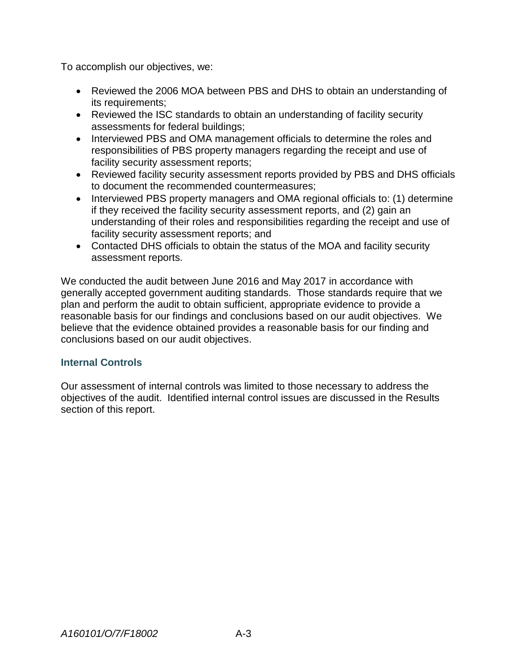To accomplish our objectives, we:

- Reviewed the 2006 MOA between PBS and DHS to obtain an understanding of its requirements;
- Reviewed the ISC standards to obtain an understanding of facility security assessments for federal buildings;
- responsibilities of PBS property managers regarding the receipt and use of • Interviewed PBS and OMA management officials to determine the roles and facility security assessment reports;
- Reviewed facility security assessment reports provided by PBS and DHS officials to document the recommended countermeasures;
- Interviewed PBS property managers and OMA regional officials to: (1) determine if they received the facility security assessment reports, and (2) gain an understanding of their roles and responsibilities regarding the receipt and use of facility security assessment reports; and
- • Contacted DHS officials to obtain the status of the MOA and facility security assessment reports.

 generally accepted government auditing standards. Those standards require that we plan and perform the audit to obtain sufficient, appropriate evidence to provide a reasonable basis for our findings and conclusions based on our audit objectives. We believe that the evidence obtained provides a reasonable basis for our finding and We conducted the audit between June 2016 and May 2017 in accordance with conclusions based on our audit objectives.

## **Internal Controls**

 objectives of the audit. Identified internal control issues are discussed in the Results Our assessment of internal controls was limited to those necessary to address the section of this report.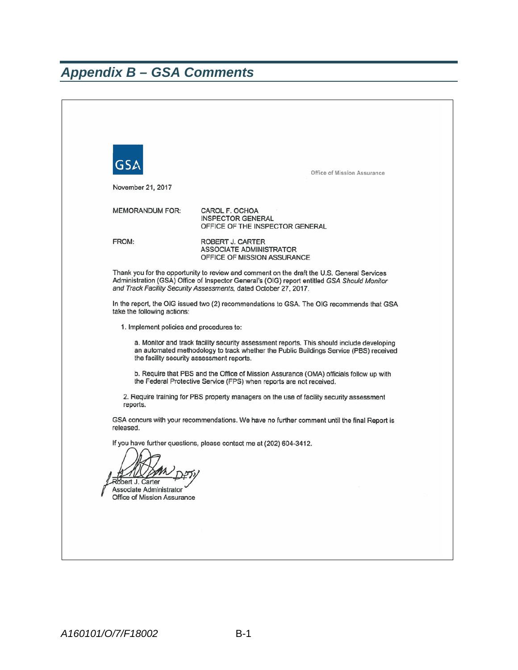## <span id="page-13-0"></span>*Appendix B – GSA Comments*

| GSL<br>November 21, 2017                                                                                                                                                                                                        | Office of Mission Assurance                                                                                                                                                                                                                                   |  |  |  |
|---------------------------------------------------------------------------------------------------------------------------------------------------------------------------------------------------------------------------------|---------------------------------------------------------------------------------------------------------------------------------------------------------------------------------------------------------------------------------------------------------------|--|--|--|
| <b>MEMORANDUM FOR:</b>                                                                                                                                                                                                          | CAROL F. OCHOA<br><b>INSPECTOR GENERAL</b><br>OFFICE OF THE INSPECTOR GENERAL                                                                                                                                                                                 |  |  |  |
| FROM:                                                                                                                                                                                                                           | ROBERT J. CARTER<br><b>ASSOCIATE ADMINISTRATOR</b><br>OFFICE OF MISSION ASSURANCE                                                                                                                                                                             |  |  |  |
|                                                                                                                                                                                                                                 | Thank you for the opportunity to review and comment on the draft the U.S. General Services<br>Administration (GSA) Office of Inspector General's (OIG) report entitled GSA Should Monitor<br>and Track Facility Security Assessments, dated October 27, 2017. |  |  |  |
| take the following actions:                                                                                                                                                                                                     | In the report, the OIG issued two (2) recommendations to GSA. The OIG recommends that GSA                                                                                                                                                                     |  |  |  |
| 1. Implement policies and procedures to:                                                                                                                                                                                        |                                                                                                                                                                                                                                                               |  |  |  |
| a. Monitor and track facility security assessment reports. This should include developing<br>an automated methodology to track whether the Public Buildings Service (PBS) received<br>the facility security assessment reports. |                                                                                                                                                                                                                                                               |  |  |  |
| b. Require that PBS and the Office of Mission Assurance (OMA) officials follow up with<br>the Federal Protective Service (FPS) when reports are not received.                                                                   |                                                                                                                                                                                                                                                               |  |  |  |
| reports.                                                                                                                                                                                                                        | 2. Require training for PBS property managers on the use of facility security assessment                                                                                                                                                                      |  |  |  |
| released.                                                                                                                                                                                                                       | GSA concurs with your recommendations. We have no further comment until the final Report is                                                                                                                                                                   |  |  |  |
| If you have further questions, please contact me at (202) 604-3412.<br>Röbert J. Carter Theory<br>Associate Administrator<br>Office of Mission Assurance                                                                        |                                                                                                                                                                                                                                                               |  |  |  |
|                                                                                                                                                                                                                                 |                                                                                                                                                                                                                                                               |  |  |  |